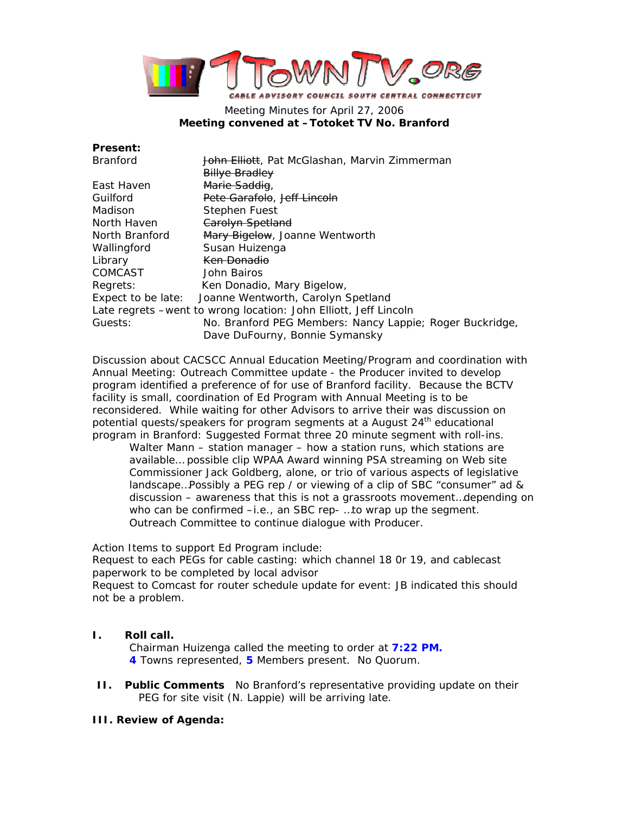

# Meeting Minutes for April 27, 2006 **Meeting convened at –Totoket TV No. Branford**

| <b>Present:</b> |  |
|-----------------|--|
|                 |  |

| <b>Branford</b>    | John Elliott, Pat McGlashan, Marvin Zimmerman                     |  |
|--------------------|-------------------------------------------------------------------|--|
|                    | <b>Billye Bradley</b>                                             |  |
| East Haven         | Marie Saddig,                                                     |  |
| Guilford           | Pete Garafolo, Jeff Lincoln                                       |  |
| Madison            | Stephen Fuest                                                     |  |
| North Haven        | Carolyn Spetland                                                  |  |
| North Branford     | Mary Bigelow, Joanne Wentworth                                    |  |
| Wallingford        | Susan Huizenga                                                    |  |
| Library            | <del>Ken Donadio</del>                                            |  |
| COMCAST            | John Bairos                                                       |  |
| Regrets:           | Ken Donadio, Mary Bigelow,                                        |  |
| Expect to be late: | Joanne Wentworth, Carolyn Spetland                                |  |
|                    | Late regrets – went to wrong location: John Elliott, Jeff Lincoln |  |
| Guests:            | No. Branford PEG Members: Nancy Lappie; Roger Buckridge,          |  |
|                    | Dave DuFourny, Bonnie Symansky                                    |  |

Discussion about CACSCC Annual Education Meeting/Program and coordination with Annual Meeting: Outreach Committee update - the Producer invited to develop program identified a preference of for use of Branford facility. Because the BCTV facility is small, coordination of Ed Program with Annual Meeting is to be reconsidered. While waiting for other Advisors to arrive their was discussion on potential quests/speakers for program segments at a August 24<sup>th</sup> educational program in Branford: Suggested Format three 20 minute segment with roll-ins.

Walter Mann – station manager – how a station runs, which stations are available… possible clip WPAA Award winning PSA streaming on Web site Commissioner Jack Goldberg, alone, or trio of various aspects of legislative landscape…Possibly a PEG rep / or viewing of a clip of SBC "consumer" ad & discussion – awareness that this is not a grassroots movement…depending on who can be confirmed –i.e., an SBC rep- …to wrap up the segment. Outreach Committee to continue dialogue with Producer.

Action Items to support Ed Program include:

Request to each PEGs for cable casting: which channel 18 0r 19, and cablecast paperwork to be completed by local advisor

Request to Comcast for router schedule update for event: JB indicated this should not be a problem.

# **I. Roll call.**

Chairman Huizenga called the meeting to order at **7:22 PM. 4** Towns represented, **5** Members present. No Quorum.

**II. Public Comments** No Branford's representative providing update on their PEG for site visit (N. Lappie) will be arriving late.

## **III. Review of Agenda:**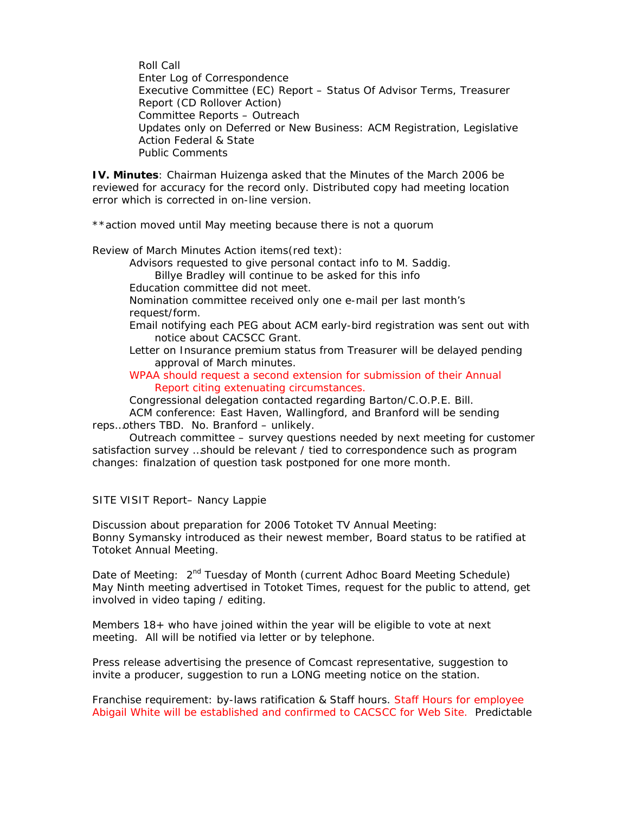Roll Call Enter Log of Correspondence Executive Committee (EC) Report – Status Of Advisor Terms, Treasurer Report (CD Rollover Action) Committee Reports – Outreach Updates only on Deferred or New Business: ACM Registration, Legislative Action Federal & State Public Comments

**IV. Minutes**: Chairman Huizenga asked that the Minutes of the March 2006 be reviewed for accuracy for the record only. Distributed copy had meeting location error which is corrected in on-line version.

\*\*action moved until May meeting because there is not a quorum

*Review of March Minutes Action items(red text):*

Advisors requested to give personal contact info to M. Saddig. Billye Bradley will continue to be asked for this info Education committee did not meet.

Nomination committee received only one e-mail per last month's request/form.

Email notifying each PEG about ACM early-bird registration was sent out with notice about CACSCC Grant.

Letter on Insurance premium status from Treasurer will be delayed pending approval of March minutes.

WPAA should request a second extension for submission of their Annual Report citing extenuating circumstances.

Congressional delegation contacted regarding Barton/C.O.P.E. Bill.

ACM conference: East Haven, Wallingford, and Branford will be sending reps…others TBD. No. Branford – unlikely.

Outreach committee – survey questions needed by next meeting for customer satisfaction survey …should be relevant / tied to correspondence such as program changes: finalzation of question task postponed for one more month.

### *SITE VISIT Report– Nancy Lappie*

Discussion about preparation for 2006 Totoket TV Annual Meeting: Bonny Symansky introduced as their newest member, Board status to be ratified at Totoket Annual Meeting.

Date of Meeting: 2<sup>nd</sup> Tuesday of Month (current Adhoc Board Meeting Schedule) May Ninth meeting advertised in Totoket Times, request for the public to attend, get involved in video taping / editing.

Members 18+ who have joined within the year will be eligible to vote at next meeting. All will be notified via letter or by telephone.

Press release advertising the presence of Comcast representative, suggestion to invite a producer, suggestion to run a LONG meeting notice on the station.

Franchise requirement: by-laws ratification & Staff hours. Staff Hours for employee Abigail White will be established and confirmed to CACSCC for Web Site. Predictable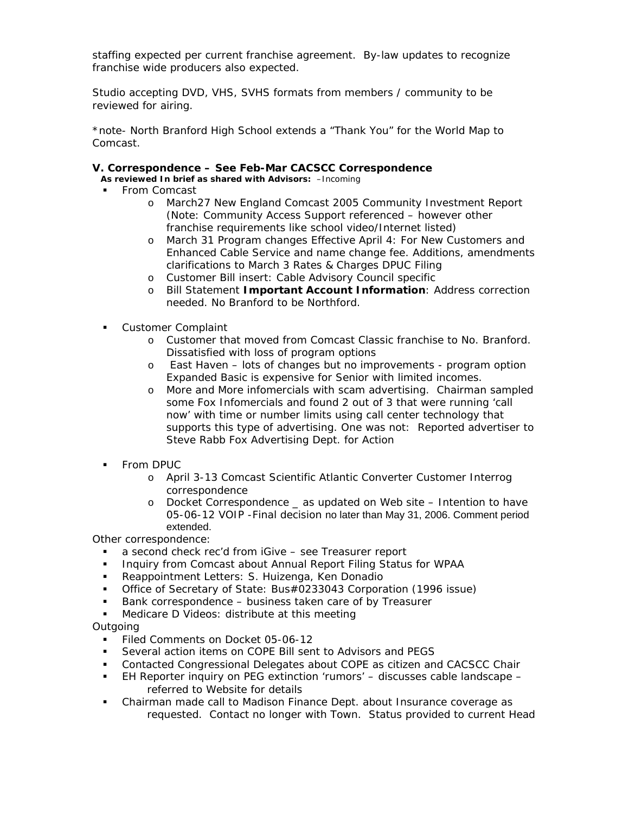staffing expected per current franchise agreement. By-law updates to recognize franchise wide producers also expected.

Studio accepting DVD, VHS, SVHS formats from members / community to be reviewed for airing.

\*note- North Branford High School extends a "Thank You" for the World Map to Comcast.

### **V. Correspondence – See Feb-Mar CACSCC Correspondence**

**As reviewed In brief as shared with Advisors:** –Incoming

- From Comcast
	- o March27 New England Comcast 2005 Community Investment Report (Note: Community Access Support referenced – however other franchise requirements like school video/Internet listed)
	- o March 31 Program changes Effective April 4: For New Customers and Enhanced Cable Service and name change fee. Additions, amendments clarifications to March 3 Rates & Charges DPUC Filing
	- o Customer Bill insert: Cable Advisory Council specific
	- o Bill Statement **Important Account Information**: Address correction needed. No Branford to be Northford.
- **Customer Complaint** 
	- o Customer that moved from Comcast Classic franchise to No. Branford. Dissatisfied with loss of program options
	- o East Haven lots of changes but no improvements program option Expanded Basic is expensive for Senior with limited incomes.
	- o More and More infomercials with scam advertising. Chairman sampled some Fox Infomercials and found 2 out of 3 that were running 'call now' with time or number limits using call center technology that supports this type of advertising. One was not: Reported advertiser to Steve Rabb Fox Advertising Dept. for Action
- **From DPUC** 
	- o April 3-13 Comcast Scientific Atlantic Converter Customer Interrog correspondence
	- o Docket Correspondence \_ as updated on Web site Intention to have 05-06-12 VOIP -Final decision no later than May 31, 2006. Comment period extended.

Other correspondence:

- a second check rec'd from iGive see Treasurer report
- Inquiry from Comcast about Annual Report Filing Status for WPAA
- Reappointment Letters: S. Huizenga, Ken Donadio
- Office of Secretary of State: Bus#0233043 Corporation (1996 issue)
- Bank correspondence business taken care of by Treasurer
- **Medicare D Videos: distribute at this meeting**

### Outgoing

- Filed Comments on Docket 05-06-12
- Several action items on COPE Bill sent to Advisors and PEGS
- Contacted Congressional Delegates about COPE as citizen and CACSCC Chair
- EH Reporter inquiry on PEG extinction 'rumors' discusses cable landscape referred to Website for details
- Chairman made call to Madison Finance Dept. about Insurance coverage as requested. Contact no longer with Town. Status provided to current Head